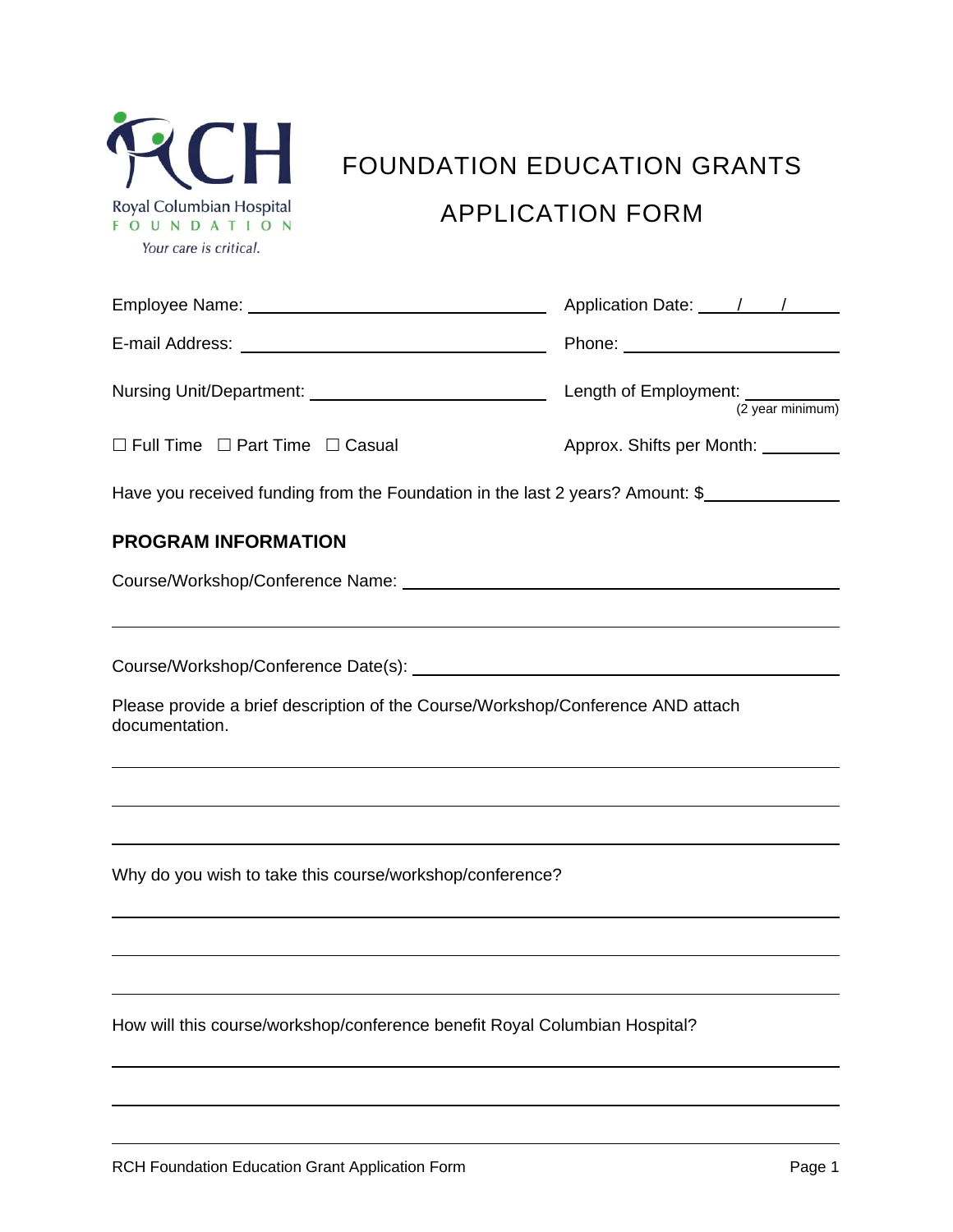| Royal Columbian Hospital |                        |      |  |  |  |
|--------------------------|------------------------|------|--|--|--|
|                          | <sup>U</sup>           | NDAT |  |  |  |
|                          | Your care is critical. |      |  |  |  |

# FOUNDATION EDUCATION GRANTS APPLICATION FORM

|                                                                                                   | Application Date: 1 / /                |  |  |  |  |  |  |
|---------------------------------------------------------------------------------------------------|----------------------------------------|--|--|--|--|--|--|
|                                                                                                   | Phone: ___________________________     |  |  |  |  |  |  |
|                                                                                                   | Length of Employment: [2 year minimum] |  |  |  |  |  |  |
| $\Box$ Full Time $\Box$ Part Time $\Box$ Casual                                                   | Approx. Shifts per Month: _________    |  |  |  |  |  |  |
| Have you received funding from the Foundation in the last 2 years? Amount: \$                     |                                        |  |  |  |  |  |  |
| <b>PROGRAM INFORMATION</b>                                                                        |                                        |  |  |  |  |  |  |
|                                                                                                   |                                        |  |  |  |  |  |  |
|                                                                                                   |                                        |  |  |  |  |  |  |
| Please provide a brief description of the Course/Workshop/Conference AND attach<br>documentation. |                                        |  |  |  |  |  |  |
|                                                                                                   |                                        |  |  |  |  |  |  |
| Why do you wish to take this course/workshop/conference?                                          |                                        |  |  |  |  |  |  |
|                                                                                                   |                                        |  |  |  |  |  |  |
| How will this course/workshop/conference benefit Royal Columbian Hospital?                        |                                        |  |  |  |  |  |  |